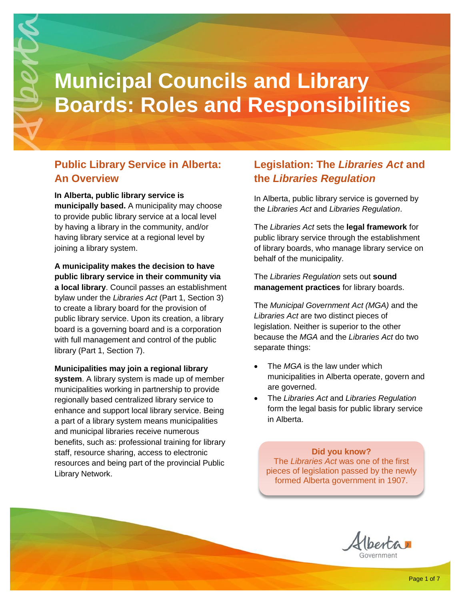

# **Public Library Service in Alberta: An Overview**

#### **In Alberta, public library service is**

**municipally based.** A municipality may choose to provide public library service at a local level by having a library in the community, and/or having library service at a regional level by joining a library system.

**A municipality makes the decision to have public library service in their community via a local library**. Council passes an establishment bylaw under the *Libraries Act* (Part 1, Section 3) to create a library board for the provision of public library service. Upon its creation, a library board is a governing board and is a corporation with full management and control of the public library (Part 1, Section 7).

**Municipalities may join a regional library system**. A library system is made up of member municipalities working in partnership to provide regionally based centralized library service to enhance and support local library service. Being a part of a library system means municipalities and municipal libraries receive numerous benefits, such as: professional training for library staff, resource sharing, access to electronic resources and being part of the provincial Public Library Network.

### **Legislation: The** *Libraries Act* **and the** *Libraries Regulation*

In Alberta, public library service is governed by the *Libraries Act* and *Libraries Regulation*.

The *Libraries Act* sets the **legal framework** for public library service through the establishment of library boards, who manage library service on behalf of the municipality.

The *Libraries Regulation* sets out **sound management practices** for library boards.

The *Municipal Government Act (MGA)* and the *Libraries Act* are two distinct pieces of legislation. Neither is superior to the other because the *MGA* and the *Libraries Act* do two separate things:

- The *MGA* is the law under which municipalities in Alberta operate, govern and are governed.
- The *Libraries Act* and *Libraries Regulation* form the legal basis for public library service in Alberta.

**Did you know?** The *Libraries Act* was one of the first pieces of legislation passed by the newly formed Alberta government in 1907.

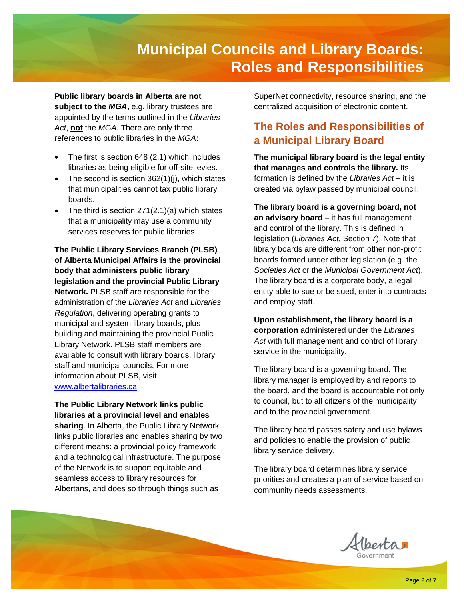**Public library boards in Alberta are not subject to the** *MGA***,** e.g. library trustees are appointed by the terms outlined in the *Libraries Act*, **not** the *MGA*. There are only three references to public libraries in the *MGA*:

- The first is section 648 (2.1) which includes libraries as being eligible for off-site levies.
- The second is section 362(1)(j), which states that municipalities cannot tax public library boards.
- The third is section  $271(2.1)(a)$  which states that a municipality may use a community services reserves for public libraries.

**The Public Library Services Branch (PLSB) of Alberta Municipal Affairs is the provincial body that administers public library legislation and the provincial Public Library Network.** PLSB staff are responsible for the administration of the *Libraries Act* and *Libraries Regulation*, delivering operating grants to municipal and system library boards, plus building and maintaining the provincial Public Library Network. PLSB staff members are available to consult with library boards, library staff and municipal councils. For more information about PLSB, visit [www.albertalibraries.ca.](http://www.albertalibraries.ca/)

**The Public Library Network links public libraries at a provincial level and enables sharing**. In Alberta, the Public Library Network links public libraries and enables sharing by two different means: a provincial policy framework and a technological infrastructure. The purpose of the Network is to support equitable and seamless access to library resources for Albertans, and does so through things such as

SuperNet connectivity, resource sharing, and the centralized acquisition of electronic content.

## **The Roles and Responsibilities of a Municipal Library Board**

**The municipal library board is the legal entity that manages and controls the library.** Its formation is defined by the *Libraries Act* – it is created via bylaw passed by municipal council.

**The library board is a governing board, not an advisory board** – it has full management and control of the library. This is defined in legislation (*Libraries Act*, Section 7). Note that library boards are different from other non-profit boards formed under other legislation (e.g. the *Societies Act* or the *Municipal Government Act*). The library board is a corporate body, a legal entity able to sue or be sued, enter into contracts and employ staff.

**Upon establishment, the library board is a corporation** administered under the *Libraries Act* with full management and control of library service in the municipality.

The library board is a governing board. The library manager is employed by and reports to the board, and the board is accountable not only to council, but to all citizens of the municipality and to the provincial government.

The library board passes safety and use bylaws and policies to enable the provision of public library service delivery.

The library board determines library service priorities and creates a plan of service based on community needs assessments.

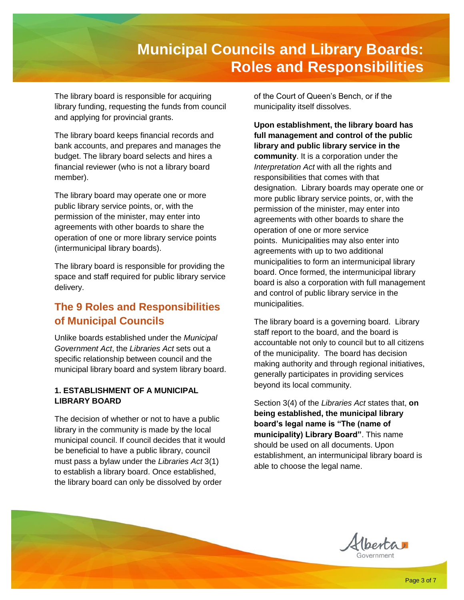The library board is responsible for acquiring library funding, requesting the funds from council and applying for provincial grants.

The library board keeps financial records and bank accounts, and prepares and manages the budget. The library board selects and hires a financial reviewer (who is not a library board member).

The library board may operate one or more public library service points, or, with the permission of the minister, may enter into agreements with other boards to share the operation of one or more library service points (intermunicipal library boards).

The library board is responsible for providing the space and staff required for public library service delivery.

### **The 9 Roles and Responsibilities of Municipal Councils**

Unlike boards established under the *Municipal Government Act*, the *Libraries Act* sets out a specific relationship between council and the municipal library board and system library board.

#### **1. ESTABLISHMENT OF A MUNICIPAL LIBRARY BOARD**

The decision of whether or not to have a public library in the community is made by the local municipal council. If council decides that it would be beneficial to have a public library, council must pass a bylaw under the *Libraries Act* 3(1) to establish a library board. Once established, the library board can only be dissolved by order

of the Court of Queen's Bench, or if the municipality itself dissolves.

**Upon establishment, the library board has full management and control of the public library and public library service in the community**. It is a corporation under the *Interpretation Act* with all the rights and responsibilities that comes with that designation. Library boards may operate one or more public library service points, or, with the permission of the minister, may enter into agreements with other boards to share the operation of one or more service points. Municipalities may also enter into agreements with up to two additional municipalities to form an intermunicipal library board. Once formed, the intermunicipal library board is also a corporation with full management and control of public library service in the municipalities.

The library board is a governing board. Library staff report to the board, and the board is accountable not only to council but to all citizens of the municipality. The board has decision making authority and through regional initiatives, generally participates in providing services beyond its local community.

Section 3(4) of the *Libraries Act* states that, **on being established, the municipal library board's legal name is "The (name of municipality) Library Board"**. This name should be used on all documents. Upon establishment, an intermunicipal library board is able to choose the legal name.

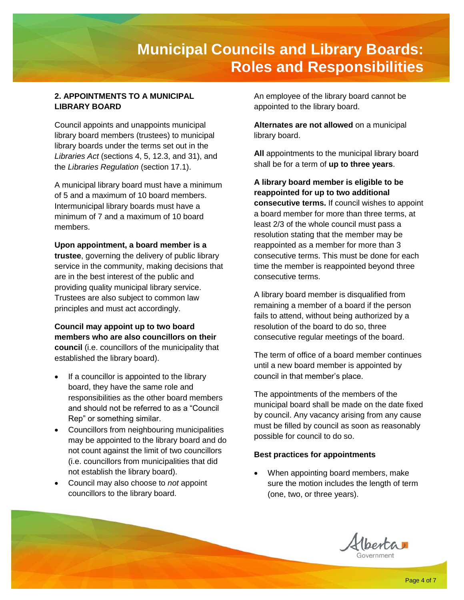#### **2. APPOINTMENTS TO A MUNICIPAL LIBRARY BOARD**

Council appoints and unappoints municipal library board members (trustees) to municipal library boards under the terms set out in the *Libraries Act* (sections 4, 5, 12.3, and 31), and the *Libraries Regulation* (section 17.1).

A municipal library board must have a minimum of 5 and a maximum of 10 board members. Intermunicipal library boards must have a minimum of 7 and a maximum of 10 board members.

**Upon appointment, a board member is a trustee**, governing the delivery of public library service in the community, making decisions that are in the best interest of the public and providing quality municipal library service. Trustees are also subject to common law principles and must act accordingly.

**Council may appoint up to two board members who are also councillors on their council** (i.e. councillors of the municipality that established the library board).

- If a councillor is appointed to the library board, they have the same role and responsibilities as the other board members and should not be referred to as a "Council Rep" or something similar.
- Councillors from neighbouring municipalities may be appointed to the library board and do not count against the limit of two councillors (i.e. councillors from municipalities that did not establish the library board).
- Council may also choose to *not* appoint councillors to the library board.

An employee of the library board cannot be appointed to the library board.

**Alternates are not allowed** on a municipal library board.

**All** appointments to the municipal library board shall be for a term of **up to three years**.

**A library board member is eligible to be reappointed for up to two additional consecutive terms.** If council wishes to appoint a board member for more than three terms, at least 2/3 of the whole council must pass a resolution stating that the member may be reappointed as a member for more than 3 consecutive terms. This must be done for each time the member is reappointed beyond three consecutive terms.

A library board member is disqualified from remaining a member of a board if the person fails to attend, without being authorized by a resolution of the board to do so, three consecutive regular meetings of the board.

The term of office of a board member continues until a new board member is appointed by council in that member's place.

The appointments of the members of the municipal board shall be made on the date fixed by council. Any vacancy arising from any cause must be filled by council as soon as reasonably possible for council to do so.

#### **Best practices for appointments**

• When appointing board members, make sure the motion includes the length of term (one, two, or three years).

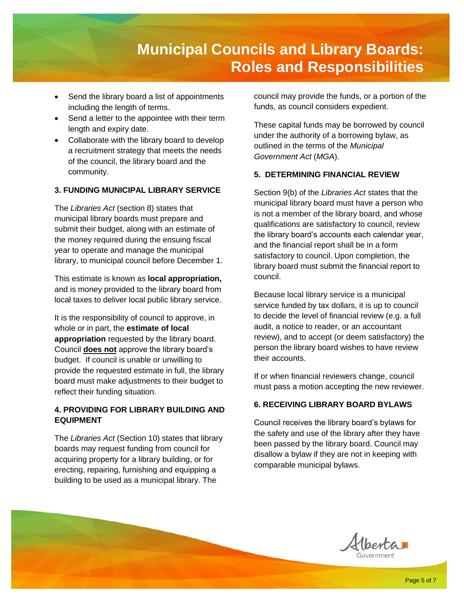- Send the library board a list of appointments including the length of terms.
- Send a letter to the appointee with their term length and expiry date.
- Collaborate with the library board to develop a recruitment strategy that meets the needs of the council, the library board and the community.

#### **3. FUNDING MUNICIPAL LIBRARY SERVICE**

The *Libraries Act* (section 8) states that municipal library boards must prepare and submit their budget, along with an estimate of the money required during the ensuing fiscal year to operate and manage the municipal library, to municipal council before December 1.

This estimate is known as **local appropriation,** and is money provided to the library board from local taxes to deliver local public library service.

It is the responsibility of council to approve, in whole or in part, the **estimate of local appropriation** requested by the library board. Council **does not** approve the library board's budget. If council is unable or unwilling to provide the requested estimate in full, the library board must make adjustments to their budget to reflect their funding situation.

#### **4. PROVIDING FOR LIBRARY BUILDING AND EQUIPMENT**

The *Libraries Act* (Section 10) states that library boards may request funding from council for acquiring property for a library building, or for erecting, repairing, furnishing and equipping a building to be used as a municipal library. The

council may provide the funds, or a portion of the funds, as council considers expedient.

These capital funds may be borrowed by council under the authority of a borrowing bylaw, as outlined in the terms of the *Municipal Government Act* (*MGA*).

#### **5. DETERMINING FINANCIAL REVIEW**

Section 9(b) of the *Libraries Act* states that the municipal library board must have a person who is not a member of the library board, and whose qualifications are satisfactory to council, review the library board's accounts each calendar year, and the financial report shall be in a form satisfactory to council. Upon completion, the library board must submit the financial report to council.

Because local library service is a municipal service funded by tax dollars, it is up to council to decide the level of financial review (e.g. a full audit, a notice to reader, or an accountant review), and to accept (or deem satisfactory) the person the library board wishes to have review their accounts.

If or when financial reviewers change, council must pass a motion accepting the new reviewer.

#### **6. RECEIVING LIBRARY BOARD BYLAWS**

Council receives the library board's bylaws for the safety and use of the library after they have been passed by the library board. Council may disallow a bylaw if they are not in keeping with comparable municipal bylaws.

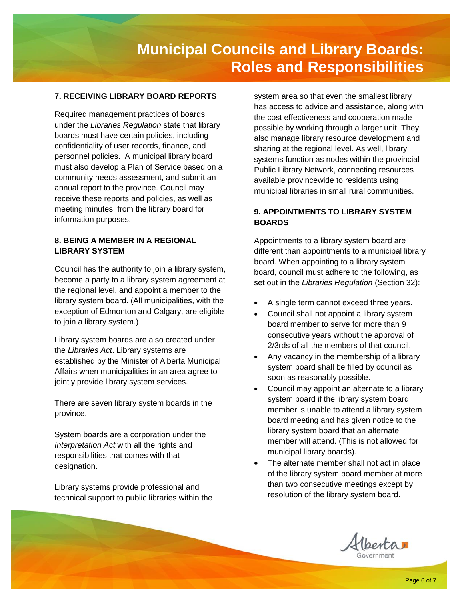#### **7. RECEIVING LIBRARY BOARD REPORTS**

Required management practices of boards under the *Libraries Regulation* state that library boards must have certain policies, including confidentiality of user records, finance, and personnel policies. A municipal library board must also develop a Plan of Service based on a community needs assessment, and submit an annual report to the province. Council may receive these reports and policies, as well as meeting minutes, from the library board for information purposes.

#### **8. BEING A MEMBER IN A REGIONAL LIBRARY SYSTEM**

Council has the authority to join a library system, become a party to a library system agreement at the regional level, and appoint a member to the library system board. (All municipalities, with the exception of Edmonton and Calgary, are eligible to join a library system.)

Library system boards are also created under the *Libraries Act*. Library systems are established by the Minister of Alberta Municipal Affairs when municipalities in an area agree to jointly provide library system services.

There are seven library system boards in the province.

System boards are a corporation under the *Interpretation Act* with all the rights and responsibilities that comes with that designation.

Library systems provide professional and technical support to public libraries within the system area so that even the smallest library has access to advice and assistance, along with the cost effectiveness and cooperation made possible by working through a larger unit. They also manage library resource development and sharing at the regional level. As well, library systems function as nodes within the provincial Public Library Network, connecting resources available provincewide to residents using municipal libraries in small rural communities.

#### **9. APPOINTMENTS TO LIBRARY SYSTEM BOARDS**

Appointments to a library system board are different than appointments to a municipal library board. When appointing to a library system board, council must adhere to the following, as set out in the *Libraries Regulation* (Section 32):

- A single term cannot exceed three years.
- Council shall not appoint a library system board member to serve for more than 9 consecutive years without the approval of 2/3rds of all the members of that council.
- Any vacancy in the membership of a library system board shall be filled by council as soon as reasonably possible.
- Council may appoint an alternate to a library system board if the library system board member is unable to attend a library system board meeting and has given notice to the library system board that an alternate member will attend. (This is not allowed for municipal library boards).
- The alternate member shall not act in place of the library system board member at more than two consecutive meetings except by resolution of the library system board.